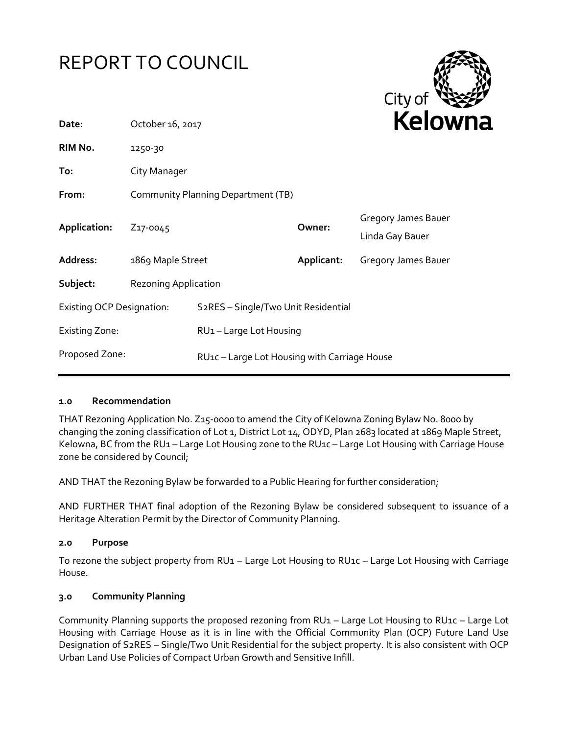



| Date:                            | October 16, 2017                   |                                                           |            | Nelow                                  |
|----------------------------------|------------------------------------|-----------------------------------------------------------|------------|----------------------------------------|
| RIM No.                          | 1250-30                            |                                                           |            |                                        |
| To:                              | City Manager                       |                                                           |            |                                        |
| From:                            | Community Planning Department (TB) |                                                           |            |                                        |
| Application:                     | Z <sub>17</sub> -0045              |                                                           | Owner:     | Gregory James Bauer<br>Linda Gay Bauer |
| Address:                         | 1869 Maple Street                  |                                                           | Applicant: | <b>Gregory James Bauer</b>             |
| Subject:                         | <b>Rezoning Application</b>        |                                                           |            |                                        |
| <b>Existing OCP Designation:</b> |                                    | S <sub>2</sub> RES - Single/Two Unit Residential          |            |                                        |
| <b>Existing Zone:</b>            |                                    | RU1-Large Lot Housing                                     |            |                                        |
| Proposed Zone:                   |                                    | RU <sub>1</sub> c – Large Lot Housing with Carriage House |            |                                        |

### **1.0 Recommendation**

THAT Rezoning Application No. Z15-0000 to amend the City of Kelowna Zoning Bylaw No. 8000 by changing the zoning classification of Lot 1, District Lot 14, ODYD, Plan 2683 located at 1869 Maple Street, Kelowna, BC from the RU1 - Large Lot Housing zone to the RU1c - Large Lot Housing with Carriage House zone be considered by Council;

AND THAT the Rezoning Bylaw be forwarded to a Public Hearing for further consideration;

AND FURTHER THAT final adoption of the Rezoning Bylaw be considered subsequent to issuance of a Heritage Alteration Permit by the Director of Community Planning.

### **2.0 Purpose**

To rezone the subject property from RU1 – Large Lot Housing to RU1c – Large Lot Housing with Carriage House.

### **3.0 Community Planning**

Community Planning supports the proposed rezoning from RU1 – Large Lot Housing to RU1c – Large Lot Housing with Carriage House as it is in line with the Official Community Plan (OCP) Future Land Use Designation of S2RES – Single/Two Unit Residential for the subject property. It is also consistent with OCP Urban Land Use Policies of Compact Urban Growth and Sensitive Infill.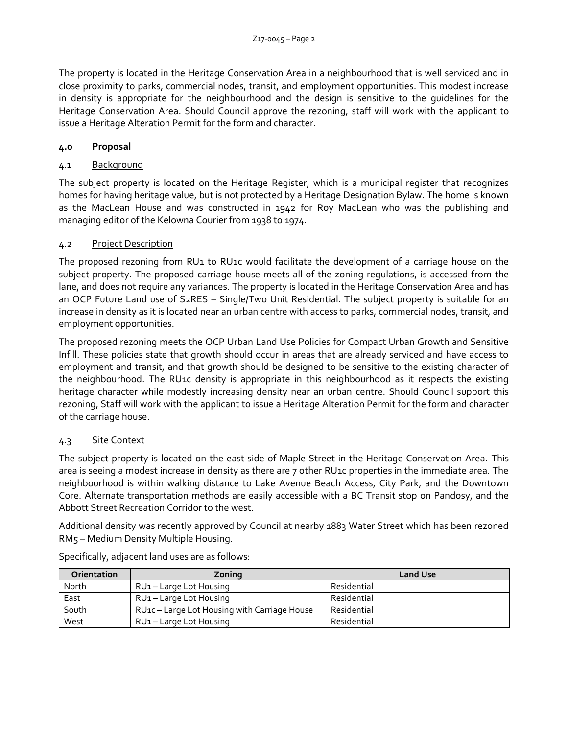The property is located in the Heritage Conservation Area in a neighbourhood that is well serviced and in close proximity to parks, commercial nodes, transit, and employment opportunities. This modest increase in density is appropriate for the neighbourhood and the design is sensitive to the guidelines for the Heritage Conservation Area. Should Council approve the rezoning, staff will work with the applicant to issue a Heritage Alteration Permit for the form and character.

# **4.0 Proposal**

# 4.1 Background

The subject property is located on the Heritage Register, which is a municipal register that recognizes homes for having heritage value, but is not protected by a Heritage Designation Bylaw. The home is known as the MacLean House and was constructed in 1942 for Roy MacLean who was the publishing and managing editor of the Kelowna Courier from 1938 to 1974.

# 4.2 Project Description

The proposed rezoning from RU1 to RU1c would facilitate the development of a carriage house on the subject property. The proposed carriage house meets all of the zoning regulations, is accessed from the lane, and does not require any variances. The property is located in the Heritage Conservation Area and has an OCP Future Land use of S2RES – Single/Two Unit Residential. The subject property is suitable for an increase in density as it is located near an urban centre with access to parks, commercial nodes, transit, and employment opportunities.

The proposed rezoning meets the OCP Urban Land Use Policies for Compact Urban Growth and Sensitive Infill. These policies state that growth should occur in areas that are already serviced and have access to employment and transit, and that growth should be designed to be sensitive to the existing character of the neighbourhood. The RU1c density is appropriate in this neighbourhood as it respects the existing heritage character while modestly increasing density near an urban centre. Should Council support this rezoning, Staff will work with the applicant to issue a Heritage Alteration Permit for the form and character of the carriage house.

# 4.3 Site Context

The subject property is located on the east side of Maple Street in the Heritage Conservation Area. This area is seeing a modest increase in density as there are 7 other RU1c properties in the immediate area. The neighbourhood is within walking distance to Lake Avenue Beach Access, City Park, and the Downtown Core. Alternate transportation methods are easily accessible with a BC Transit stop on Pandosy, and the Abbott Street Recreation Corridor to the west.

Additional density was recently approved by Council at nearby 1883 Water Street which has been rezoned RM5 – Medium Density Multiple Housing.

| <b>Orientation</b> | Zoning                                       | <b>Land Use</b> |
|--------------------|----------------------------------------------|-----------------|
| North              | RU <sub>1</sub> – Large Lot Housing          | Residential     |
| East               | RU <sub>1</sub> – Large Lot Housing          | Residential     |
| South              | RU1c - Large Lot Housing with Carriage House | Residential     |
| West               | RU <sub>1</sub> – Large Lot Housing          | Residential     |

Specifically, adjacent land uses are as follows: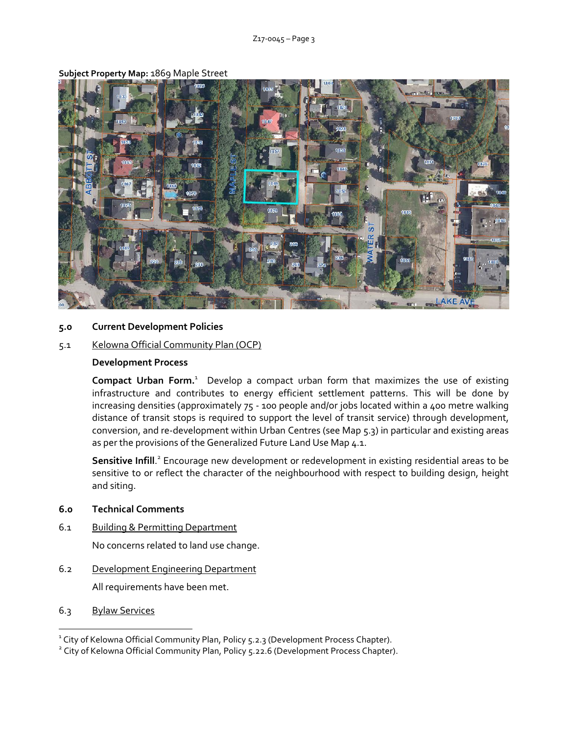

**Subject Property Map:** 1869 Maple Street

#### **5.0 Current Development Policies**

#### 5.1 Kelowna Official Community Plan (OCP)

#### **Development Process**

**Compact Urban Form.**<sup>1</sup> Develop a compact urban form that maximizes the use of existing infrastructure and contributes to energy efficient settlement patterns. This will be done by increasing densities (approximately 75 - 100 people and/or jobs located within a 400 metre walking distance of transit stops is required to support the level of transit service) through development, conversion, and re-development within Urban Centres (see Map 5.3) in particular and existing areas as per the provisions of the Generalized Future Land Use Map 4.1.

Sensitive Infill.<sup>2</sup> Encourage new development or redevelopment in existing residential areas to be sensitive to or reflect the character of the neighbourhood with respect to building design, height and siting.

### **6.0 Technical Comments**

6.1 Building & Permitting Department

No concerns related to land use change.

6.2 Development Engineering Department

All requirements have been met.

6.3 Bylaw Services

1

 $^{\text{\tiny{1}}}$  City of Kelowna Official Community Plan, Policy 5.2.3 (Development Process Chapter).

<sup>&</sup>lt;sup>2</sup> City of Kelowna Official Community Plan, Policy 5.22.6 (Development Process Chapter).